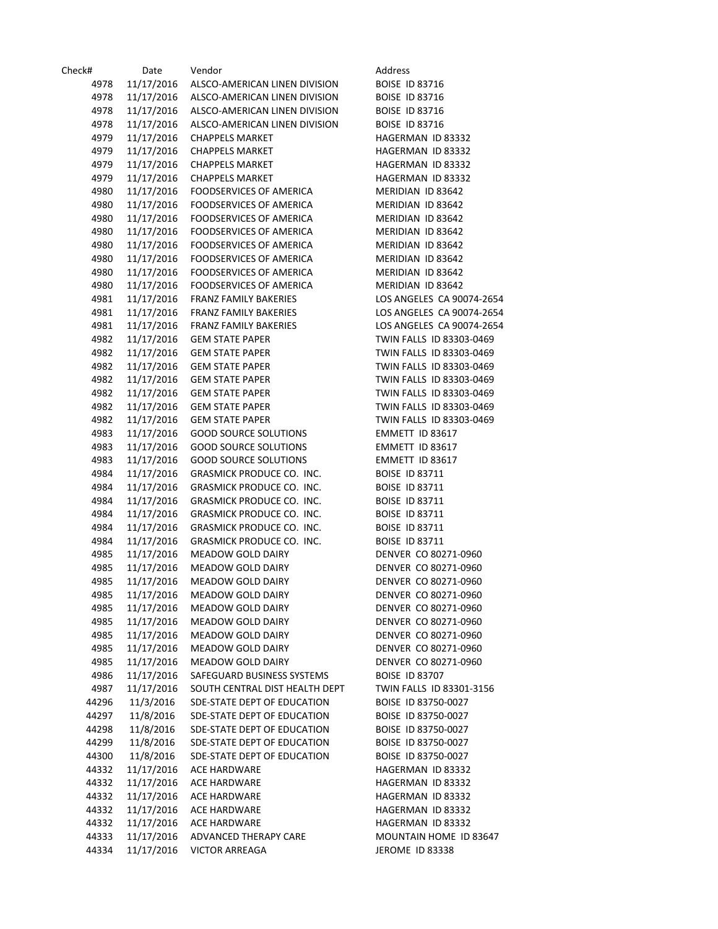| Check# | Date       | Vendor                         | Address                   |
|--------|------------|--------------------------------|---------------------------|
| 4978   | 11/17/2016 | ALSCO-AMERICAN LINEN DIVISION  | <b>BOISE ID 83716</b>     |
| 4978   | 11/17/2016 | ALSCO-AMERICAN LINEN DIVISION  | <b>BOISE ID 83716</b>     |
| 4978   | 11/17/2016 | ALSCO-AMERICAN LINEN DIVISION  | <b>BOISE ID 83716</b>     |
| 4978   | 11/17/2016 | ALSCO-AMERICAN LINEN DIVISION  | <b>BOISE ID 83716</b>     |
| 4979   | 11/17/2016 | <b>CHAPPELS MARKET</b>         | HAGERMAN ID 83332         |
| 4979   | 11/17/2016 | <b>CHAPPELS MARKET</b>         | HAGERMAN ID 83332         |
| 4979   | 11/17/2016 | <b>CHAPPELS MARKET</b>         | HAGERMAN ID 83332         |
| 4979   | 11/17/2016 | <b>CHAPPELS MARKET</b>         | HAGERMAN ID 83332         |
| 4980   | 11/17/2016 | FOODSERVICES OF AMERICA        | MERIDIAN ID 83642         |
| 4980   | 11/17/2016 | FOODSERVICES OF AMERICA        | MERIDIAN ID 83642         |
| 4980   | 11/17/2016 | FOODSERVICES OF AMERICA        | MERIDIAN ID 83642         |
| 4980   | 11/17/2016 | <b>FOODSERVICES OF AMERICA</b> | MERIDIAN ID 83642         |
| 4980   |            | FOODSERVICES OF AMERICA        | MERIDIAN ID 83642         |
|        | 11/17/2016 |                                |                           |
| 4980   | 11/17/2016 | FOODSERVICES OF AMERICA        | MERIDIAN ID 83642         |
| 4980   | 11/17/2016 | FOODSERVICES OF AMERICA        | MERIDIAN ID 83642         |
| 4980   | 11/17/2016 | FOODSERVICES OF AMERICA        | MERIDIAN ID 83642         |
| 4981   | 11/17/2016 | <b>FRANZ FAMILY BAKERIES</b>   | LOS ANGELES CA 90074-2654 |
| 4981   | 11/17/2016 | FRANZ FAMILY BAKERIES          | LOS ANGELES CA 90074-2654 |
| 4981   | 11/17/2016 | <b>FRANZ FAMILY BAKERIES</b>   | LOS ANGELES CA 90074-2654 |
| 4982   | 11/17/2016 | <b>GEM STATE PAPER</b>         | TWIN FALLS ID 83303-0469  |
| 4982   | 11/17/2016 | <b>GEM STATE PAPER</b>         | TWIN FALLS ID 83303-0469  |
| 4982   | 11/17/2016 | <b>GEM STATE PAPER</b>         | TWIN FALLS ID 83303-0469  |
| 4982   | 11/17/2016 | <b>GEM STATE PAPER</b>         | TWIN FALLS ID 83303-0469  |
| 4982   | 11/17/2016 | <b>GEM STATE PAPER</b>         | TWIN FALLS ID 83303-0469  |
| 4982   | 11/17/2016 | <b>GEM STATE PAPER</b>         | TWIN FALLS ID 83303-0469  |
| 4982   | 11/17/2016 | <b>GEM STATE PAPER</b>         | TWIN FALLS ID 83303-0469  |
| 4983   | 11/17/2016 | <b>GOOD SOURCE SOLUTIONS</b>   | EMMETT ID 83617           |
| 4983   | 11/17/2016 | <b>GOOD SOURCE SOLUTIONS</b>   | EMMETT ID 83617           |
| 4983   | 11/17/2016 | <b>GOOD SOURCE SOLUTIONS</b>   | EMMETT ID 83617           |
| 4984   | 11/17/2016 | GRASMICK PRODUCE CO. INC.      | <b>BOISE ID 83711</b>     |
| 4984   | 11/17/2016 | GRASMICK PRODUCE CO. INC.      | <b>BOISE ID 83711</b>     |
| 4984   | 11/17/2016 | GRASMICK PRODUCE CO. INC.      | <b>BOISE ID 83711</b>     |
| 4984   | 11/17/2016 | GRASMICK PRODUCE CO. INC.      | <b>BOISE ID 83711</b>     |
| 4984   | 11/17/2016 | GRASMICK PRODUCE CO. INC.      | <b>BOISE ID 83711</b>     |
| 4984   | 11/17/2016 | GRASMICK PRODUCE CO. INC.      | <b>BOISE ID 83711</b>     |
| 4985   | 11/17/2016 | MEADOW GOLD DAIRY              | DENVER CO 80271-0960      |
| 4985   |            | MEADOW GOLD DAIRY              | DENVER CO 80271-0960      |
| 4985   | 11/17/2016 | <b>MEADOW GOLD DAIRY</b>       | DENVER CO 80271-0960      |
|        | 11/17/2016 |                                |                           |
| 4985   | 11/17/2016 | MEADOW GOLD DAIRY              | DENVER CO 80271-0960      |
| 4985   | 11/17/2016 | MEADOW GOLD DAIRY              | DENVER CO 80271-0960      |
| 4985   | 11/17/2016 | MEADOW GOLD DAIRY              | DENVER CO 80271-0960      |
| 4985   | 11/17/2016 | MEADOW GOLD DAIRY              | DENVER CO 80271-0960      |
| 4985   | 11/17/2016 | MEADOW GOLD DAIRY              | DENVER CO 80271-0960      |
| 4985   | 11/17/2016 | MEADOW GOLD DAIRY              | DENVER CO 80271-0960      |
| 4986   | 11/17/2016 | SAFEGUARD BUSINESS SYSTEMS     | <b>BOISE ID 83707</b>     |
| 4987   | 11/17/2016 | SOUTH CENTRAL DIST HEALTH DEPT | TWIN FALLS ID 83301-3156  |
| 44296  | 11/3/2016  | SDE-STATE DEPT OF EDUCATION    | BOISE ID 83750-0027       |
| 44297  | 11/8/2016  | SDE-STATE DEPT OF EDUCATION    | BOISE ID 83750-0027       |
| 44298  | 11/8/2016  | SDE-STATE DEPT OF EDUCATION    | BOISE ID 83750-0027       |
| 44299  | 11/8/2016  | SDE-STATE DEPT OF EDUCATION    | BOISE ID 83750-0027       |
| 44300  | 11/8/2016  | SDE-STATE DEPT OF EDUCATION    | BOISE ID 83750-0027       |
| 44332  | 11/17/2016 | ACE HARDWARE                   | HAGERMAN ID 83332         |
| 44332  | 11/17/2016 | ACE HARDWARE                   | HAGERMAN ID 83332         |
| 44332  | 11/17/2016 | <b>ACE HARDWARE</b>            | HAGERMAN ID 83332         |
| 44332  | 11/17/2016 | <b>ACE HARDWARE</b>            | HAGERMAN ID 83332         |
| 44332  | 11/17/2016 | <b>ACE HARDWARE</b>            | HAGERMAN ID 83332         |
| 44333  | 11/17/2016 | ADVANCED THERAPY CARE          | MOUNTAIN HOME ID 83647    |
| 44334  | 11/17/2016 | <b>VICTOR ARREAGA</b>          | JEROME ID 83338           |
|        |            |                                |                           |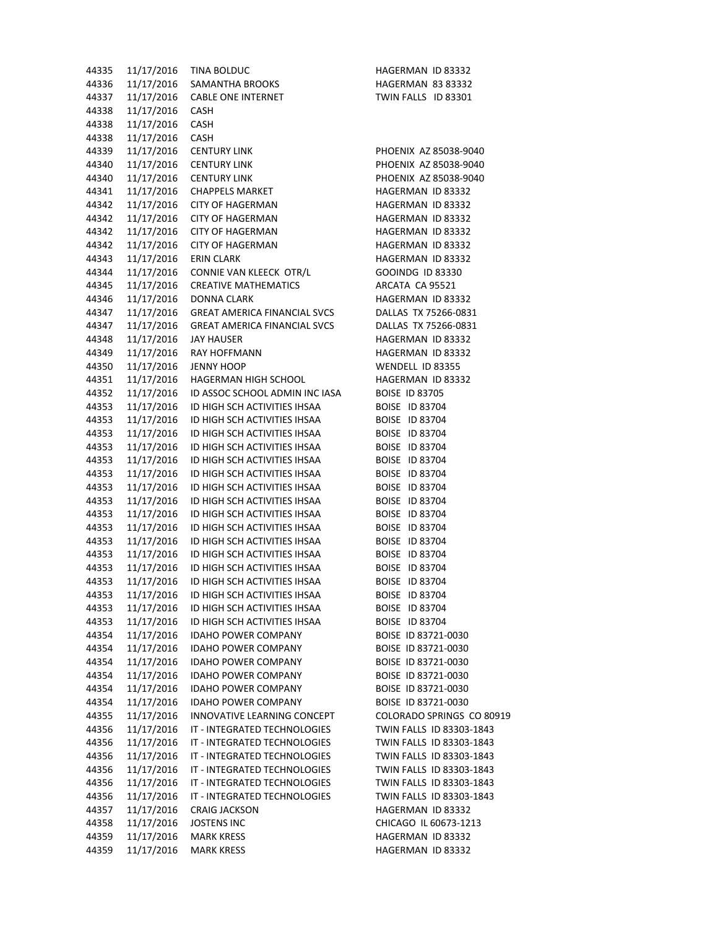| 44335 | 11/17/2016 | <b>TINA BOLDUC</b>                  | <b>HAGERMAN ID 83332</b>  |
|-------|------------|-------------------------------------|---------------------------|
| 44336 | 11/17/2016 | SAMANTHA BROOKS                     | <b>HAGERMAN 83 83332</b>  |
| 44337 | 11/17/2016 | <b>CABLE ONE INTERNET</b>           | TWIN FALLS ID 83301       |
| 44338 | 11/17/2016 | <b>CASH</b>                         |                           |
| 44338 | 11/17/2016 | CASH                                |                           |
| 44338 | 11/17/2016 | <b>CASH</b>                         |                           |
| 44339 | 11/17/2016 | <b>CENTURY LINK</b>                 | PHOENIX AZ 85038-9040     |
| 44340 | 11/17/2016 | <b>CENTURY LINK</b>                 | PHOENIX AZ 85038-9040     |
| 44340 | 11/17/2016 | <b>CENTURY LINK</b>                 | PHOENIX AZ 85038-9040     |
|       |            |                                     |                           |
| 44341 | 11/17/2016 | <b>CHAPPELS MARKET</b>              | HAGERMAN ID 83332         |
| 44342 | 11/17/2016 | <b>CITY OF HAGERMAN</b>             | HAGERMAN ID 83332         |
| 44342 | 11/17/2016 | <b>CITY OF HAGERMAN</b>             | HAGERMAN ID 83332         |
| 44342 | 11/17/2016 | <b>CITY OF HAGERMAN</b>             | HAGERMAN ID 83332         |
| 44342 | 11/17/2016 | <b>CITY OF HAGERMAN</b>             | HAGERMAN ID 83332         |
| 44343 | 11/17/2016 | <b>ERIN CLARK</b>                   | HAGERMAN ID 83332         |
| 44344 | 11/17/2016 | CONNIE VAN KLEECK OTR/L             | <b>GOOINDG ID 83330</b>   |
| 44345 | 11/17/2016 | <b>CREATIVE MATHEMATICS</b>         | ARCATA CA 95521           |
| 44346 | 11/17/2016 | <b>DONNA CLARK</b>                  | HAGERMAN ID 83332         |
| 44347 | 11/17/2016 | <b>GREAT AMERICA FINANCIAL SVCS</b> | DALLAS TX 75266-0831      |
| 44347 | 11/17/2016 | <b>GREAT AMERICA FINANCIAL SVCS</b> | DALLAS TX 75266-0831      |
| 44348 | 11/17/2016 | <b>JAY HAUSER</b>                   | HAGERMAN ID 83332         |
| 44349 | 11/17/2016 | RAY HOFFMANN                        | HAGERMAN ID 83332         |
| 44350 | 11/17/2016 | <b>JENNY HOOP</b>                   | WENDELL ID 83355          |
| 44351 | 11/17/2016 | <b>HAGERMAN HIGH SCHOOL</b>         | HAGERMAN ID 83332         |
| 44352 | 11/17/2016 | ID ASSOC SCHOOL ADMIN INC IASA      | <b>BOISE ID 83705</b>     |
| 44353 | 11/17/2016 | ID HIGH SCH ACTIVITIES IHSAA        | <b>BOISE ID 83704</b>     |
| 44353 | 11/17/2016 | ID HIGH SCH ACTIVITIES IHSAA        | BOISE ID 83704            |
| 44353 | 11/17/2016 | ID HIGH SCH ACTIVITIES IHSAA        | BOISE ID 83704            |
| 44353 | 11/17/2016 | ID HIGH SCH ACTIVITIES IHSAA        | BOISE ID 83704            |
| 44353 | 11/17/2016 | ID HIGH SCH ACTIVITIES IHSAA        | BOISE ID 83704            |
| 44353 | 11/17/2016 | ID HIGH SCH ACTIVITIES IHSAA        | BOISE ID 83704            |
| 44353 | 11/17/2016 | ID HIGH SCH ACTIVITIES IHSAA        | BOISE ID 83704            |
|       |            |                                     |                           |
| 44353 | 11/17/2016 | ID HIGH SCH ACTIVITIES IHSAA        | BOISE ID 83704            |
| 44353 | 11/17/2016 | ID HIGH SCH ACTIVITIES IHSAA        | <b>BOISE ID 83704</b>     |
| 44353 | 11/17/2016 | ID HIGH SCH ACTIVITIES IHSAA        | BOISE ID 83704            |
| 44353 | 11/17/2016 | ID HIGH SCH ACTIVITIES IHSAA        | BOISE ID 83704            |
| 44353 | 11/17/2016 | ID HIGH SCH ACTIVITIES IHSAA        | <b>BOISE ID 83704</b>     |
| 44353 | 11/17/2016 | ID HIGH SCH ACTIVITIES IHSAA        | BOISE ID 83704            |
| 44353 | 11/17/2016 | ID HIGH SCH ACTIVITIES IHSAA        | <b>BOISE ID 83704</b>     |
| 44353 | 11/17/2016 | ID HIGH SCH ACTIVITIES IHSAA        | BOISE ID 83704            |
| 44353 | 11/17/2016 | ID HIGH SCH ACTIVITIES IHSAA        | BOISE ID 83704            |
| 44353 | 11/17/2016 | ID HIGH SCH ACTIVITIES IHSAA        | BOISE ID 83704            |
| 44354 | 11/17/2016 | <b>IDAHO POWER COMPANY</b>          | BOISE ID 83721-0030       |
| 44354 | 11/17/2016 | <b>IDAHO POWER COMPANY</b>          | BOISE ID 83721-0030       |
| 44354 | 11/17/2016 | <b>IDAHO POWER COMPANY</b>          | BOISE ID 83721-0030       |
| 44354 | 11/17/2016 | <b>IDAHO POWER COMPANY</b>          | BOISE ID 83721-0030       |
| 44354 | 11/17/2016 | <b>IDAHO POWER COMPANY</b>          | BOISE ID 83721-0030       |
| 44354 | 11/17/2016 | <b>IDAHO POWER COMPANY</b>          | BOISE ID 83721-0030       |
| 44355 | 11/17/2016 | INNOVATIVE LEARNING CONCEPT         | COLORADO SPRINGS CO 80919 |
| 44356 | 11/17/2016 | IT - INTEGRATED TECHNOLOGIES        | TWIN FALLS ID 83303-1843  |
| 44356 | 11/17/2016 | IT - INTEGRATED TECHNOLOGIES        | TWIN FALLS ID 83303-1843  |
| 44356 | 11/17/2016 | IT - INTEGRATED TECHNOLOGIES        | TWIN FALLS ID 83303-1843  |
| 44356 | 11/17/2016 | IT - INTEGRATED TECHNOLOGIES        | TWIN FALLS ID 83303-1843  |
| 44356 | 11/17/2016 | IT - INTEGRATED TECHNOLOGIES        | TWIN FALLS ID 83303-1843  |
| 44356 | 11/17/2016 | IT - INTEGRATED TECHNOLOGIES        | TWIN FALLS ID 83303-1843  |
| 44357 | 11/17/2016 | <b>CRAIG JACKSON</b>                | HAGERMAN ID 83332         |
| 44358 | 11/17/2016 | <b>JOSTENS INC</b>                  | CHICAGO IL 60673-1213     |
| 44359 | 11/17/2016 | <b>MARK KRESS</b>                   | HAGERMAN ID 83332         |
|       |            |                                     |                           |
| 44359 | 11/17/2016 | <b>MARK KRESS</b>                   | HAGERMAN ID 83332         |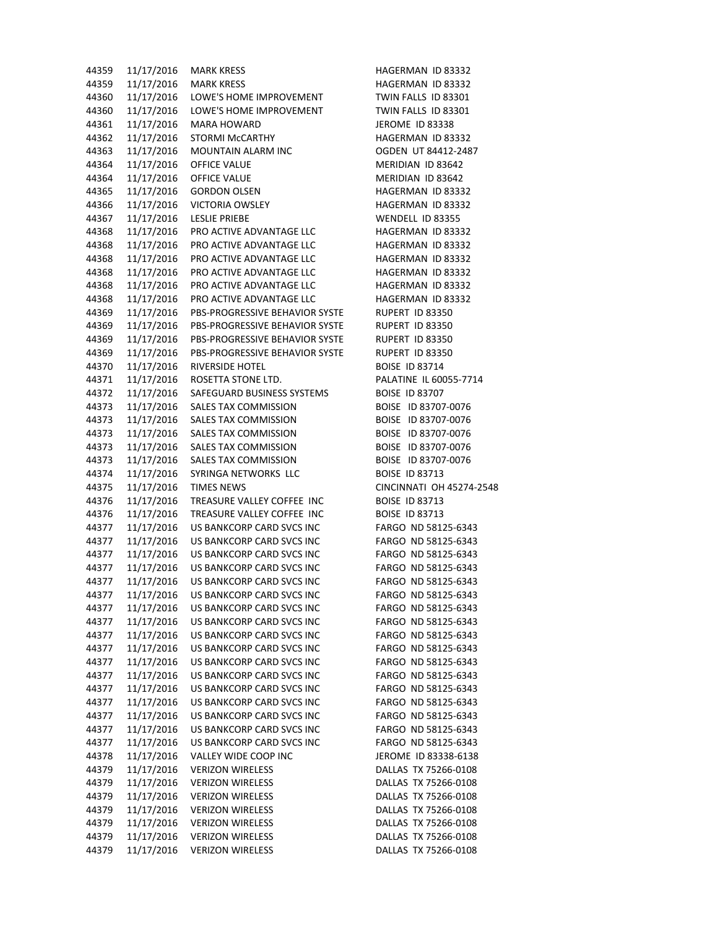| 44359 | 11/17/2016 | <b>MARK KRESS</b>                                      | HAGERMAN ID 83332        |
|-------|------------|--------------------------------------------------------|--------------------------|
| 44359 | 11/17/2016 | <b>MARK KRESS</b>                                      | HAGERMAN ID 83332        |
| 44360 | 11/17/2016 | LOWE'S HOME IMPROVEMENT                                | TWIN FALLS ID 83301      |
| 44360 | 11/17/2016 | LOWE'S HOME IMPROVEMENT                                | TWIN FALLS ID 83301      |
| 44361 | 11/17/2016 | <b>MARA HOWARD</b>                                     | <b>JEROME ID 83338</b>   |
| 44362 | 11/17/2016 | <b>STORMI McCARTHY</b>                                 | HAGERMAN ID 83332        |
| 44363 | 11/17/2016 | MOUNTAIN ALARM INC                                     | OGDEN UT 84412-2487      |
| 44364 | 11/17/2016 | OFFICE VALUE                                           | MERIDIAN ID 83642        |
|       |            |                                                        |                          |
| 44364 | 11/17/2016 | OFFICE VALUE                                           | MERIDIAN ID 83642        |
| 44365 | 11/17/2016 | <b>GORDON OLSEN</b>                                    | HAGERMAN ID 83332        |
| 44366 | 11/17/2016 | <b>VICTORIA OWSLEY</b>                                 | HAGERMAN ID 83332        |
| 44367 | 11/17/2016 | <b>LESLIE PRIEBE</b>                                   | WENDELL ID 83355         |
| 44368 | 11/17/2016 | PRO ACTIVE ADVANTAGE LLC                               | HAGERMAN ID 83332        |
| 44368 | 11/17/2016 | PRO ACTIVE ADVANTAGE LLC                               | HAGERMAN ID 83332        |
| 44368 | 11/17/2016 | PRO ACTIVE ADVANTAGE LLC                               | HAGERMAN ID 83332        |
| 44368 | 11/17/2016 | PRO ACTIVE ADVANTAGE LLC                               | HAGERMAN ID 83332        |
| 44368 | 11/17/2016 | PRO ACTIVE ADVANTAGE LLC                               | HAGERMAN ID 83332        |
| 44368 | 11/17/2016 | PRO ACTIVE ADVANTAGE LLC                               | HAGERMAN ID 83332        |
| 44369 | 11/17/2016 | PBS-PROGRESSIVE BEHAVIOR SYSTE                         | RUPERT ID 83350          |
| 44369 | 11/17/2016 | PBS-PROGRESSIVE BEHAVIOR SYSTE                         | RUPERT ID 83350          |
| 44369 | 11/17/2016 | PBS-PROGRESSIVE BEHAVIOR SYSTE                         | RUPERT ID 83350          |
| 44369 | 11/17/2016 | PBS-PROGRESSIVE BEHAVIOR SYSTE                         | RUPERT ID 83350          |
| 44370 | 11/17/2016 | RIVERSIDE HOTEL                                        | <b>BOISE ID 83714</b>    |
| 44371 | 11/17/2016 | ROSETTA STONE LTD.                                     | PALATINE IL 60055-7714   |
| 44372 | 11/17/2016 | SAFEGUARD BUSINESS SYSTEMS                             | <b>BOISE ID 83707</b>    |
| 44373 | 11/17/2016 | SALES TAX COMMISSION                                   | BOISE ID 83707-0076      |
|       |            | SALES TAX COMMISSION                                   | BOISE ID 83707-0076      |
| 44373 | 11/17/2016 |                                                        |                          |
| 44373 | 11/17/2016 | SALES TAX COMMISSION                                   | BOISE ID 83707-0076      |
| 44373 | 11/17/2016 | SALES TAX COMMISSION                                   | BOISE ID 83707-0076      |
| 44373 | 11/17/2016 | SALES TAX COMMISSION                                   | BOISE ID 83707-0076      |
| 44374 | 11/17/2016 | SYRINGA NETWORKS LLC                                   | <b>BOISE ID 83713</b>    |
| 44375 | 11/17/2016 | <b>TIMES NEWS</b>                                      | CINCINNATI OH 45274-2548 |
| 44376 | 11/17/2016 | TREASURE VALLEY COFFEE INC                             | <b>BOISE ID 83713</b>    |
| 44376 | 11/17/2016 | TREASURE VALLEY COFFEE INC                             | <b>BOISE ID 83713</b>    |
| 44377 | 11/17/2016 | US BANKCORP CARD SVCS INC                              | FARGO ND 58125-6343      |
| 44377 | 11/17/2016 | US BANKCORP CARD SVCS INC                              | FARGO ND 58125-6343      |
| 44377 | 11/17/2016 | US BANKCORP CARD SVCS INC                              | FARGO ND 58125-6343      |
| 44377 | 11/17/2016 | US BANKCORP CARD SVCS INC                              | FARGO ND 58125-6343      |
| 44377 | 11/17/2016 | US BANKCORP CARD SVCS INC                              | FARGO ND 58125-6343      |
| 44377 | 11/17/2016 | US BANKCORP CARD SVCS INC                              | FARGO ND 58125-6343      |
| 44377 | 11/17/2016 | US BANKCORP CARD SVCS INC                              | FARGO ND 58125-6343      |
| 44377 | 11/17/2016 | US BANKCORP CARD SVCS INC                              | FARGO ND 58125-6343      |
| 44377 | 11/17/2016 | US BANKCORP CARD SVCS INC                              | FARGO ND 58125-6343      |
| 44377 | 11/17/2016 | US BANKCORP CARD SVCS INC                              | FARGO ND 58125-6343      |
| 44377 | 11/17/2016 | US BANKCORP CARD SVCS INC                              | FARGO ND 58125-6343      |
|       |            |                                                        | FARGO ND 58125-6343      |
| 44377 | 11/17/2016 | US BANKCORP CARD SVCS INC<br>US BANKCORP CARD SVCS INC |                          |
| 44377 | 11/17/2016 |                                                        | FARGO ND 58125-6343      |
| 44377 | 11/17/2016 | <b>US BANKCORP CARD SVCS INC</b>                       | FARGO ND 58125-6343      |
| 44377 | 11/17/2016 | US BANKCORP CARD SVCS INC                              | FARGO ND 58125-6343      |
| 44377 | 11/17/2016 | <b>US BANKCORP CARD SVCS INC</b>                       | FARGO ND 58125-6343      |
| 44377 | 11/17/2016 | US BANKCORP CARD SVCS INC                              | FARGO ND 58125-6343      |
| 44378 | 11/17/2016 | VALLEY WIDE COOP INC                                   | JEROME ID 83338-6138     |
| 44379 | 11/17/2016 | <b>VERIZON WIRELESS</b>                                | DALLAS TX 75266-0108     |
| 44379 | 11/17/2016 | <b>VERIZON WIRELESS</b>                                | DALLAS TX 75266-0108     |
| 44379 | 11/17/2016 | <b>VERIZON WIRELESS</b>                                | DALLAS TX 75266-0108     |
| 44379 | 11/17/2016 | <b>VERIZON WIRELESS</b>                                | DALLAS TX 75266-0108     |
| 44379 | 11/17/2016 | <b>VERIZON WIRELESS</b>                                | DALLAS TX 75266-0108     |
| 44379 | 11/17/2016 | <b>VERIZON WIRELESS</b>                                | DALLAS TX 75266-0108     |
| 44379 | 11/17/2016 | <b>VERIZON WIRELESS</b>                                | DALLAS TX 75266-0108     |
|       |            |                                                        |                          |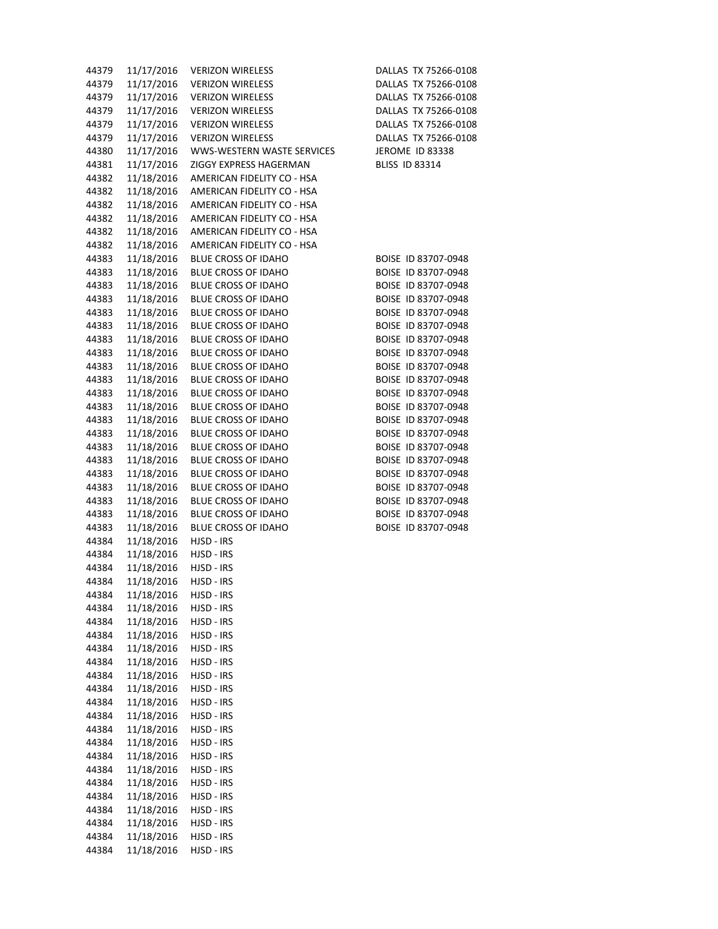| 44379 | 11/17/2016 | <b>VERIZON WIRELESS</b>    | DALLAS TX 75266-0108   |
|-------|------------|----------------------------|------------------------|
| 44379 | 11/17/2016 | <b>VERIZON WIRELESS</b>    | DALLAS TX 75266-0108   |
| 44379 | 11/17/2016 | <b>VERIZON WIRELESS</b>    | DALLAS TX 75266-0108   |
| 44379 | 11/17/2016 | <b>VERIZON WIRELESS</b>    | DALLAS TX 75266-0108   |
| 44379 | 11/17/2016 | <b>VERIZON WIRELESS</b>    | DALLAS TX 75266-0108   |
| 44379 | 11/17/2016 | <b>VERIZON WIRELESS</b>    | DALLAS TX 75266-0108   |
| 44380 | 11/17/2016 | WWS-WESTERN WASTE SERVICES | <b>JEROME ID 83338</b> |
| 44381 | 11/17/2016 | ZIGGY EXPRESS HAGERMAN     | <b>BLISS ID 83314</b>  |
| 44382 | 11/18/2016 | AMERICAN FIDELITY CO - HSA |                        |
|       | 11/18/2016 | AMERICAN FIDELITY CO - HSA |                        |
| 44382 |            |                            |                        |
| 44382 | 11/18/2016 | AMERICAN FIDELITY CO - HSA |                        |
| 44382 | 11/18/2016 | AMERICAN FIDELITY CO - HSA |                        |
| 44382 | 11/18/2016 | AMERICAN FIDELITY CO - HSA |                        |
| 44382 | 11/18/2016 | AMERICAN FIDELITY CO - HSA |                        |
| 44383 | 11/18/2016 | BLUE CROSS OF IDAHO        | BOISE ID 83707-0948    |
| 44383 | 11/18/2016 | <b>BLUE CROSS OF IDAHO</b> | BOISE ID 83707-0948    |
| 44383 | 11/18/2016 | BLUE CROSS OF IDAHO        | BOISE ID 83707-0948    |
| 44383 | 11/18/2016 | <b>BLUE CROSS OF IDAHO</b> | BOISE ID 83707-0948    |
| 44383 | 11/18/2016 | <b>BLUE CROSS OF IDAHO</b> | BOISE ID 83707-0948    |
| 44383 | 11/18/2016 | <b>BLUE CROSS OF IDAHO</b> | BOISE ID 83707-0948    |
| 44383 | 11/18/2016 | <b>BLUE CROSS OF IDAHO</b> | BOISE ID 83707-0948    |
| 44383 | 11/18/2016 | BLUE CROSS OF IDAHO        | BOISE ID 83707-0948    |
| 44383 | 11/18/2016 | <b>BLUE CROSS OF IDAHO</b> | BOISE ID 83707-0948    |
| 44383 | 11/18/2016 | <b>BLUE CROSS OF IDAHO</b> | BOISE ID 83707-0948    |
| 44383 | 11/18/2016 | <b>BLUE CROSS OF IDAHO</b> | BOISE ID 83707-0948    |
| 44383 | 11/18/2016 | BLUE CROSS OF IDAHO        | BOISE ID 83707-0948    |
| 44383 | 11/18/2016 | <b>BLUE CROSS OF IDAHO</b> | BOISE ID 83707-0948    |
| 44383 | 11/18/2016 | BLUE CROSS OF IDAHO        | BOISE ID 83707-0948    |
| 44383 | 11/18/2016 | <b>BLUE CROSS OF IDAHO</b> | BOISE ID 83707-0948    |
| 44383 | 11/18/2016 | <b>BLUE CROSS OF IDAHO</b> | BOISE ID 83707-0948    |
| 44383 | 11/18/2016 | <b>BLUE CROSS OF IDAHO</b> | BOISE ID 83707-0948    |
| 44383 | 11/18/2016 | BLUE CROSS OF IDAHO        | BOISE ID 83707-0948    |
| 44383 | 11/18/2016 | BLUE CROSS OF IDAHO        | BOISE ID 83707-0948    |
| 44383 | 11/18/2016 | <b>BLUE CROSS OF IDAHO</b> | BOISE ID 83707-0948    |
| 44383 | 11/18/2016 | <b>BLUE CROSS OF IDAHO</b> | BOISE ID 83707-0948    |
| 44384 | 11/18/2016 | HJSD - IRS                 |                        |
| 44384 | 11/18/2016 | HJSD - IRS                 |                        |
| 44384 | 11/18/2016 | HJSD - IRS                 |                        |
| 44384 | 11/18/2016 | HJSD - IRS                 |                        |
| 44384 | 11/18/2016 | HJSD - IRS                 |                        |
| 44384 | 11/18/2016 | HJSD - IRS                 |                        |
| 44384 | 11/18/2016 | HJSD - IRS                 |                        |
| 44384 | 11/18/2016 | HJSD - IRS                 |                        |
| 44384 | 11/18/2016 | HJSD - IRS                 |                        |
|       |            |                            |                        |
| 44384 | 11/18/2016 | HJSD - IRS                 |                        |
| 44384 | 11/18/2016 | HJSD - IRS                 |                        |
| 44384 | 11/18/2016 | HJSD - IRS                 |                        |
| 44384 | 11/18/2016 | HJSD - IRS                 |                        |
| 44384 | 11/18/2016 | HJSD - IRS                 |                        |
| 44384 | 11/18/2016 | HJSD - IRS                 |                        |
| 44384 | 11/18/2016 | HJSD - IRS                 |                        |
| 44384 | 11/18/2016 | HJSD - IRS                 |                        |
| 44384 | 11/18/2016 | HJSD - IRS                 |                        |
| 44384 | 11/18/2016 | HJSD - IRS                 |                        |
| 44384 | 11/18/2016 | HJSD - IRS                 |                        |
| 44384 | 11/18/2016 | HJSD - IRS                 |                        |
| 44384 | 11/18/2016 | HJSD - IRS                 |                        |
| 44384 | 11/18/2016 | HJSD - IRS                 |                        |
| 44384 | 11/18/2016 | HJSD - IRS                 |                        |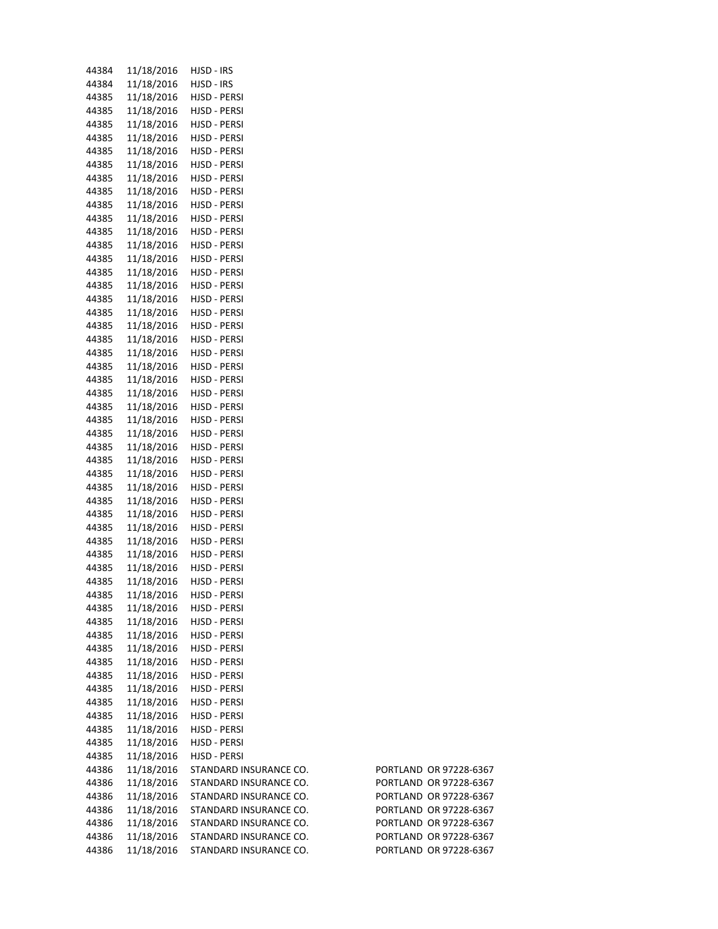| 44384 | 11/18/2016 | HJSD - IRS                   |                        |
|-------|------------|------------------------------|------------------------|
| 44384 | 11/18/2016 | HJSD - IRS                   |                        |
| 44385 | 11/18/2016 | HJSD - PERSI                 |                        |
| 44385 | 11/18/2016 | HJSD - PERSI                 |                        |
| 44385 | 11/18/2016 | HJSD - PERSI                 |                        |
| 44385 | 11/18/2016 | HJSD - PERSI                 |                        |
| 44385 | 11/18/2016 | HJSD - PERSI                 |                        |
| 44385 | 11/18/2016 | HJSD - PERSI                 |                        |
| 44385 | 11/18/2016 | HJSD - PERSI                 |                        |
| 44385 | 11/18/2016 | HJSD - PERSI                 |                        |
| 44385 | 11/18/2016 | HJSD - PERSI                 |                        |
| 44385 | 11/18/2016 | HJSD - PERSI                 |                        |
| 44385 | 11/18/2016 | HJSD - PERSI                 |                        |
| 44385 | 11/18/2016 | HJSD - PERSI                 |                        |
| 44385 | 11/18/2016 | HJSD - PERSI                 |                        |
| 44385 | 11/18/2016 | HJSD - PERSI                 |                        |
| 44385 | 11/18/2016 | HJSD - PERSI                 |                        |
| 44385 | 11/18/2016 | HJSD - PERSI                 |                        |
| 44385 | 11/18/2016 | HJSD - PERSI                 |                        |
| 44385 | 11/18/2016 | HJSD - PERSI                 |                        |
| 44385 | 11/18/2016 | HJSD - PERSI                 |                        |
| 44385 | 11/18/2016 | HJSD - PERSI                 |                        |
| 44385 | 11/18/2016 | HJSD - PERSI                 |                        |
| 44385 | 11/18/2016 | HJSD - PERSI                 |                        |
| 44385 | 11/18/2016 | HJSD - PERSI                 |                        |
| 44385 | 11/18/2016 | HJSD - PERSI                 |                        |
| 44385 | 11/18/2016 | HJSD - PERSI                 |                        |
| 44385 | 11/18/2016 | HJSD - PERSI                 |                        |
| 44385 | 11/18/2016 | HJSD - PERSI                 |                        |
| 44385 | 11/18/2016 | HJSD - PERSI                 |                        |
| 44385 | 11/18/2016 | HJSD - PERSI                 |                        |
| 44385 | 11/18/2016 | HJSD - PERSI                 |                        |
| 44385 | 11/18/2016 | HJSD - PERSI                 |                        |
| 44385 | 11/18/2016 |                              |                        |
| 44385 | 11/18/2016 | HJSD - PERSI<br>HJSD - PERSI |                        |
| 44385 | 11/18/2016 | HJSD - PERSI                 |                        |
|       | 11/18/2016 |                              |                        |
| 44385 |            | HJSD - PERSI                 |                        |
| 44385 | 11/18/2016 | HJSD - PERSI                 |                        |
| 44385 | 11/18/2016 | HJSD - PERSI                 |                        |
| 44385 | 11/18/2016 | HJSD - PERSI                 |                        |
| 44385 | 11/18/2016 | HJSD - PERSI                 |                        |
| 44385 | 11/18/2016 | HJSD - PERSI                 |                        |
| 44385 | 11/18/2016 | HJSD - PERSI                 |                        |
| 44385 | 11/18/2016 | HJSD - PERSI                 |                        |
| 44385 | 11/18/2016 | HJSD - PERSI                 |                        |
| 44385 | 11/18/2016 | HJSD - PERSI                 |                        |
| 44385 | 11/18/2016 | HJSD - PERSI                 |                        |
| 44385 | 11/18/2016 | HJSD - PERSI                 |                        |
| 44385 | 11/18/2016 | HJSD - PERSI                 |                        |
| 44385 | 11/18/2016 | HJSD - PERSI                 |                        |
| 44385 | 11/18/2016 | HJSD - PERSI                 |                        |
| 44385 | 11/18/2016 | HJSD - PERSI                 |                        |
| 44386 | 11/18/2016 | STANDARD INSURANCE CO.       | PORTLAND OR 97228-6367 |
| 44386 | 11/18/2016 | STANDARD INSURANCE CO.       | PORTLAND OR 97228-6367 |
| 44386 | 11/18/2016 | STANDARD INSURANCE CO.       | PORTLAND OR 97228-6367 |
| 44386 | 11/18/2016 | STANDARD INSURANCE CO.       | PORTLAND OR 97228-6367 |
| 44386 | 11/18/2016 | STANDARD INSURANCE CO.       | PORTLAND OR 97228-6367 |
| 44386 | 11/18/2016 | STANDARD INSURANCE CO.       | PORTLAND OR 97228-6367 |
| 44386 | 11/18/2016 | STANDARD INSURANCE CO.       | PORTLAND OR 97228-6367 |

| JCE CO.        | PORTLAND OR 97228-6367 |
|----------------|------------------------|
| <b>NCE CO.</b> | PORTLAND OR 97228-6367 |
| JCE CO.        | PORTLAND OR 97228-6367 |
| <b>NCE CO.</b> | PORTLAND OR 97228-6367 |
| <b>NCE CO.</b> | PORTLAND OR 97228-6367 |
| <b>NCE CO.</b> | PORTLAND OR 97228-6367 |
| <b>NCE CO.</b> | PORTLAND OR 97228-6367 |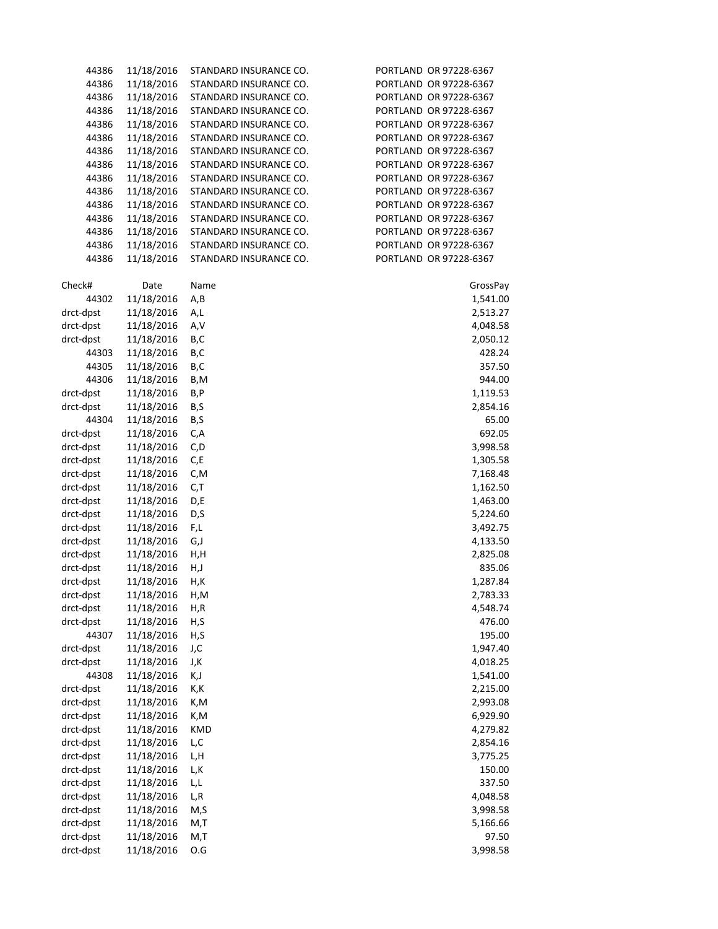| 44386                  | 11/18/2016               | STANDARD INSURANCE CO. | PORTLAND OR 97228-6367 |
|------------------------|--------------------------|------------------------|------------------------|
| 44386                  | 11/18/2016               | STANDARD INSURANCE CO. | PORTLAND OR 97228-6367 |
| 44386                  | 11/18/2016               | STANDARD INSURANCE CO. | PORTLAND OR 97228-6367 |
| 44386                  | 11/18/2016               | STANDARD INSURANCE CO. | PORTLAND OR 97228-6367 |
| 44386                  | 11/18/2016               | STANDARD INSURANCE CO. | PORTLAND OR 97228-6367 |
| 44386                  | 11/18/2016               | STANDARD INSURANCE CO. | PORTLAND OR 97228-6367 |
| 44386                  | 11/18/2016               | STANDARD INSURANCE CO. | PORTLAND OR 97228-6367 |
| 44386                  | 11/18/2016               | STANDARD INSURANCE CO. | PORTLAND OR 97228-6367 |
| 44386                  | 11/18/2016               | STANDARD INSURANCE CO. | PORTLAND OR 97228-6367 |
| 44386                  | 11/18/2016               | STANDARD INSURANCE CO. | PORTLAND OR 97228-6367 |
| 44386                  | 11/18/2016               | STANDARD INSURANCE CO. | PORTLAND OR 97228-6367 |
| 44386                  | 11/18/2016               | STANDARD INSURANCE CO. | PORTLAND OR 97228-6367 |
| 44386                  | 11/18/2016               | STANDARD INSURANCE CO. | PORTLAND OR 97228-6367 |
| 44386                  | 11/18/2016               | STANDARD INSURANCE CO. | PORTLAND OR 97228-6367 |
| 44386                  | 11/18/2016               | STANDARD INSURANCE CO. | PORTLAND OR 97228-6367 |
|                        |                          |                        |                        |
| Check#                 | Date                     | Name                   | GrossPay               |
| 44302                  | 11/18/2016               | A,B                    | 1,541.00               |
| drct-dpst              | 11/18/2016               | A,L                    | 2,513.27               |
| drct-dpst              | 11/18/2016               | A,V                    | 4,048.58               |
| drct-dpst              | 11/18/2016               | B,C                    | 2,050.12               |
| 44303                  | 11/18/2016               | B,C                    | 428.24                 |
| 44305                  | 11/18/2016               | B,C                    | 357.50                 |
| 44306                  | 11/18/2016               | B,M                    | 944.00                 |
| drct-dpst              | 11/18/2016               | B,P                    | 1,119.53               |
| drct-dpst              | 11/18/2016               | B,S                    | 2,854.16               |
|                        |                          |                        |                        |
| 44304                  | 11/18/2016               | B,S                    | 65.00                  |
| drct-dpst              | 11/18/2016               | C,A                    | 692.05                 |
| drct-dpst              | 11/18/2016               | C,D                    | 3,998.58               |
| drct-dpst              | 11/18/2016               | C, E                   | 1,305.58               |
| drct-dpst              | 11/18/2016               | C,M                    | 7,168.48               |
| drct-dpst              | 11/18/2016               | C,T                    | 1,162.50               |
| drct-dpst              | 11/18/2016               | D,E                    | 1,463.00               |
| drct-dpst              | 11/18/2016<br>11/18/2016 | D,S                    | 5,224.60               |
| drct-dpst              | 11/18/2016               | F,L<br>G,J             | 3,492.75               |
| drct-dpst              | 11/18/2016               |                        | 4,133.50               |
| drct-dpst<br>drct-dpst | 11/18/2016               | H,H                    | 2,825.08<br>835.06     |
|                        |                          | H,J                    |                        |
| drct-dpst              | 11/18/2016               | H,K                    | 1,287.84               |
| drct-dpst              | 11/18/2016<br>11/18/2016 | H,M                    | 2,783.33               |
| drct-dpst<br>drct-dpst | 11/18/2016               | H,R<br>H,S             | 4,548.74<br>476.00     |
| 44307                  | 11/18/2016               | H, S                   | 195.00                 |
| drct-dpst              | 11/18/2016               | J,C                    | 1,947.40               |
|                        | 11/18/2016               |                        |                        |
| drct-dpst<br>44308     | 11/18/2016               | J,K<br>K,J             | 4,018.25<br>1,541.00   |
|                        | 11/18/2016               |                        |                        |
| drct-dpst<br>drct-dpst | 11/18/2016               | K,K<br>K,M             | 2,215.00<br>2,993.08   |
| drct-dpst              | 11/18/2016               |                        |                        |
|                        |                          | K,M                    | 6,929.90               |
| drct-dpst              | 11/18/2016               | <b>KMD</b>             | 4,279.82               |
| drct-dpst              | 11/18/2016               | L,C                    | 2,854.16               |
| drct-dpst              | 11/18/2016               | L,H                    | 3,775.25               |
| drct-dpst              | 11/18/2016               | L,K                    | 150.00                 |
| drct-dpst              | 11/18/2016               | L,L                    | 337.50                 |
| drct-dpst              | 11/18/2016               | L, R                   | 4,048.58               |
| drct-dpst              | 11/18/2016               | M, S                   | 3,998.58               |
| drct-dpst              | 11/18/2016               | M,T                    | 5,166.66               |
| drct-dpst              | 11/18/2016               | M,T                    | 97.50                  |
| drct-dpst              | 11/18/2016               | $O.G$                  | 3,998.58               |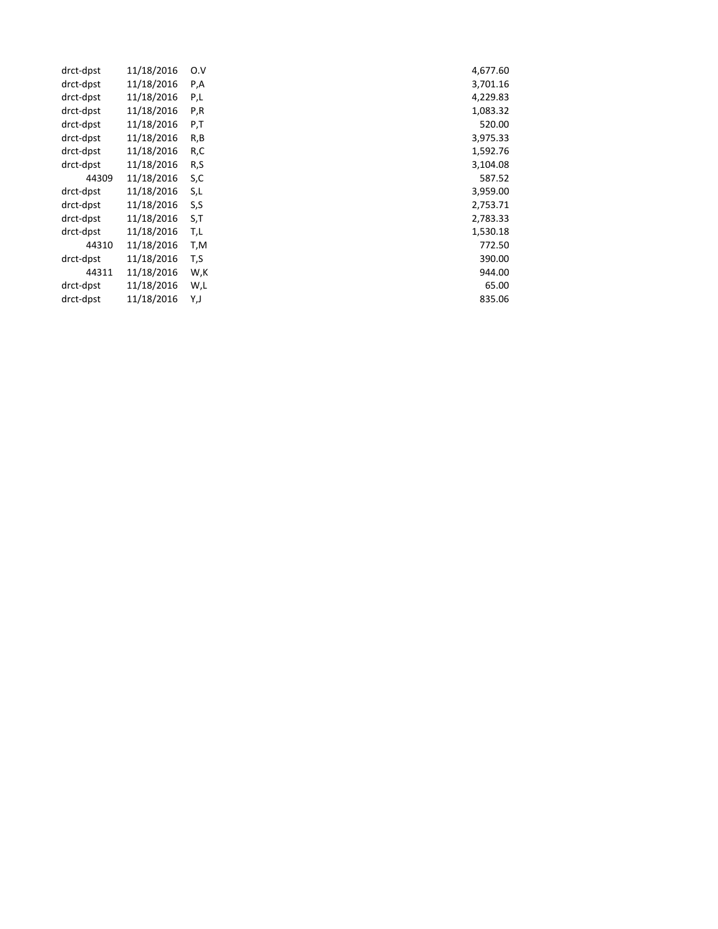| drct-dpst | 11/18/2016 | O.V | 4,677.60 |
|-----------|------------|-----|----------|
| drct-dpst | 11/18/2016 | P,A | 3,701.16 |
| drct-dpst | 11/18/2016 | P,L | 4,229.83 |
| drct-dpst | 11/18/2016 | P,R | 1,083.32 |
| drct-dpst | 11/18/2016 | P,T | 520.00   |
| drct-dpst | 11/18/2016 | R,B | 3,975.33 |
| drct-dpst | 11/18/2016 | R,C | 1,592.76 |
| drct-dpst | 11/18/2016 | R,S | 3,104.08 |
| 44309     | 11/18/2016 | S,C | 587.52   |
| drct-dpst | 11/18/2016 | S,L | 3,959.00 |
| drct-dpst | 11/18/2016 | S,S | 2,753.71 |
| drct-dpst | 11/18/2016 | S,T | 2,783.33 |
| drct-dpst | 11/18/2016 | T,L | 1,530.18 |
| 44310     | 11/18/2016 | T,M | 772.50   |
| drct-dpst | 11/18/2016 | T,S | 390.00   |
| 44311     | 11/18/2016 | W,K | 944.00   |
| drct-dpst | 11/18/2016 | W,L | 65.00    |
| drct-dpst | 11/18/2016 | Y,J | 835.06   |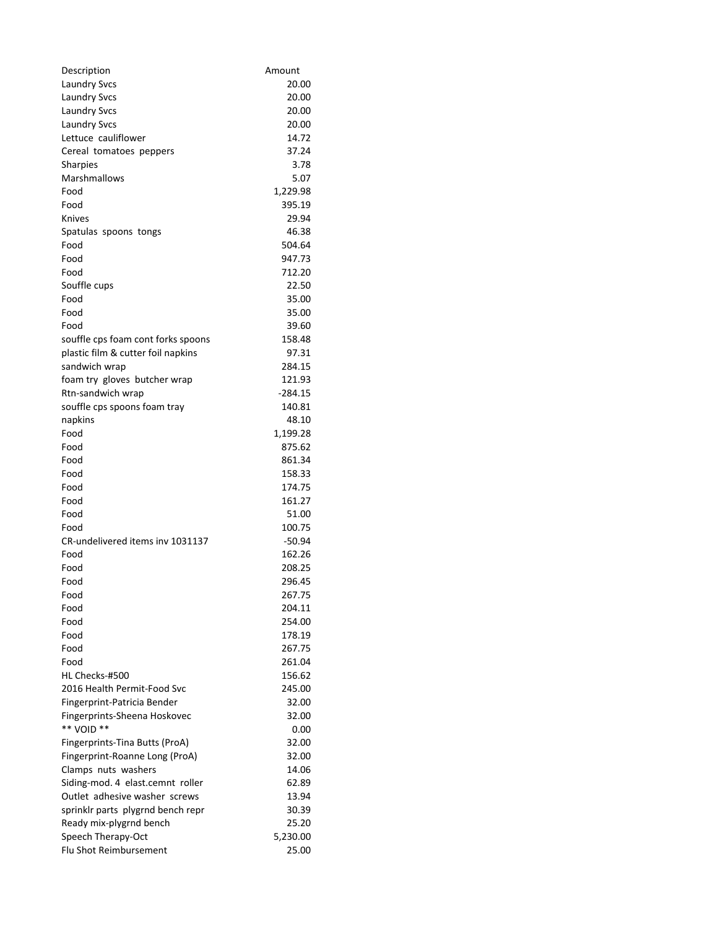| Description                        | Amount    |
|------------------------------------|-----------|
| <b>Laundry Svcs</b>                | 20.00     |
| <b>Laundry Svcs</b>                | 20.00     |
| <b>Laundry Svcs</b>                | 20.00     |
| <b>Laundry Svcs</b>                | 20.00     |
| Lettuce cauliflower                | 14.72     |
| Cereal tomatoes peppers            | 37.24     |
| <b>Sharpies</b>                    | 3.78      |
| Marshmallows                       | 5.07      |
| Food                               | 1,229.98  |
| Food                               | 395.19    |
| <b>Knives</b>                      | 29.94     |
| Spatulas spoons tongs              | 46.38     |
| Food                               | 504.64    |
| Food                               | 947.73    |
| Food                               | 712.20    |
| Souffle cups                       | 22.50     |
| Food                               | 35.00     |
| Food                               | 35.00     |
| Food                               | 39.60     |
| souffle cps foam cont forks spoons | 158.48    |
| plastic film & cutter foil napkins | 97.31     |
| sandwich wrap                      | 284.15    |
| foam try gloves butcher wrap       | 121.93    |
| Rtn-sandwich wrap                  | $-284.15$ |
| souffle cps spoons foam tray       | 140.81    |
| napkins                            | 48.10     |
| Food                               | 1,199.28  |
| Food                               | 875.62    |
| Food                               | 861.34    |
| Food                               | 158.33    |
| Food                               | 174.75    |
| Food                               | 161.27    |
| Food                               | 51.00     |
| Food                               | 100.75    |
| CR-undelivered items inv 1031137   | $-50.94$  |
| Food                               | 162.26    |
| Food                               | 208.25    |
| Food                               | 296.45    |
| Food                               | 267.75    |
| Food                               | 204.11    |
| Food                               | 254.00    |
| Food                               | 178.19    |
| Food                               | 267.75    |
| Food                               | 261.04    |
| HL Checks-#500                     | 156.62    |
| 2016 Health Permit-Food Svc        | 245.00    |
| Fingerprint-Patricia Bender        | 32.00     |
| Fingerprints-Sheena Hoskovec       | 32.00     |
| ** VOID **                         | 0.00      |
| Fingerprints-Tina Butts (ProA)     | 32.00     |
| Fingerprint-Roanne Long (ProA)     | 32.00     |
| Clamps nuts washers                | 14.06     |
| Siding-mod. 4 elast.cemnt roller   | 62.89     |
| Outlet adhesive washer screws      | 13.94     |
| sprinklr parts plygrnd bench repr  | 30.39     |
| Ready mix-plygrnd bench            | 25.20     |
| Speech Therapy-Oct                 | 5,230.00  |
| Flu Shot Reimbursement             | 25.00     |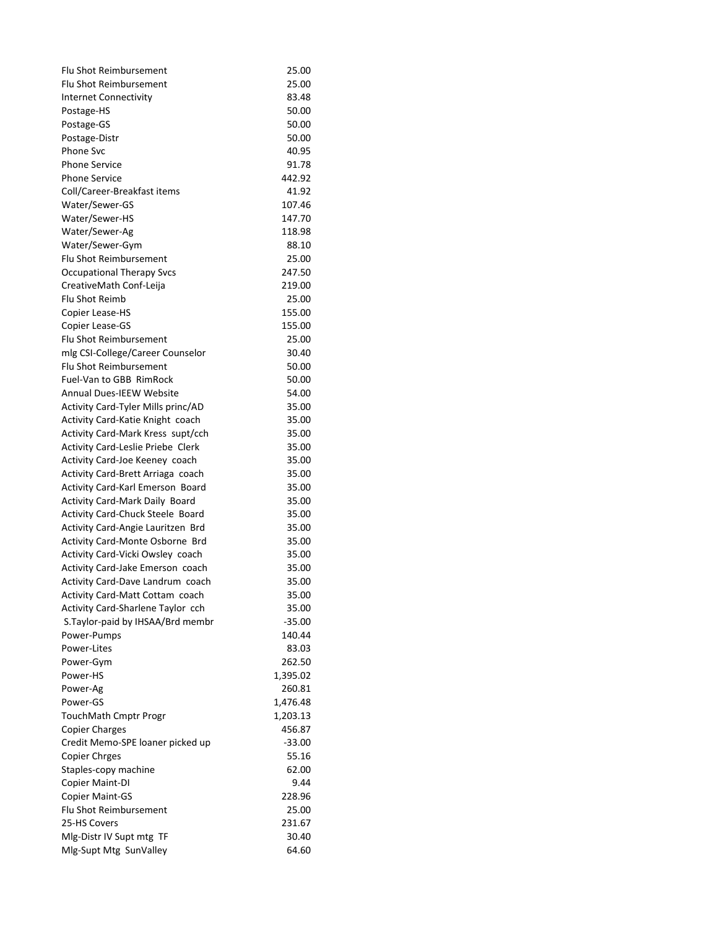| <b>Flu Shot Reimbursement</b>         | 25.00    |
|---------------------------------------|----------|
| <b>Flu Shot Reimbursement</b>         | 25.00    |
| <b>Internet Connectivity</b>          | 83.48    |
| Postage-HS                            | 50.00    |
| Postage-GS                            | 50.00    |
| Postage-Distr                         | 50.00    |
| <b>Phone Svc</b>                      | 40.95    |
| <b>Phone Service</b>                  | 91.78    |
| <b>Phone Service</b>                  | 442.92   |
| Coll/Career-Breakfast items           | 41.92    |
| Water/Sewer-GS                        | 107.46   |
| Water/Sewer-HS                        | 147.70   |
| Water/Sewer-Ag                        | 118.98   |
| Water/Sewer-Gym                       | 88.10    |
| <b>Flu Shot Reimbursement</b>         | 25.00    |
| <b>Occupational Therapy Svcs</b>      | 247.50   |
| CreativeMath Conf-Leija               | 219.00   |
| Flu Shot Reimb                        | 25.00    |
| Copier Lease-HS                       | 155.00   |
| Copier Lease-GS                       | 155.00   |
| <b>Flu Shot Reimbursement</b>         | 25.00    |
| mlg CSI-College/Career Counselor      | 30.40    |
| Flu Shot Reimbursement                | 50.00    |
| <b>Fuel-Van to GBB RimRock</b>        | 50.00    |
| <b>Annual Dues-IEEW Website</b>       | 54.00    |
| Activity Card-Tyler Mills princ/AD    | 35.00    |
|                                       |          |
| Activity Card-Katie Knight coach      | 35.00    |
| Activity Card-Mark Kress supt/cch     | 35.00    |
| Activity Card-Leslie Priebe Clerk     | 35.00    |
| Activity Card-Joe Keeney coach        | 35.00    |
| Activity Card-Brett Arriaga coach     | 35.00    |
| Activity Card-Karl Emerson Board      | 35.00    |
| <b>Activity Card-Mark Daily Board</b> | 35.00    |
| Activity Card-Chuck Steele Board      | 35.00    |
| Activity Card-Angie Lauritzen Brd     | 35.00    |
| Activity Card-Monte Osborne Brd       | 35.00    |
| Activity Card-Vicki Owsley coach      | 35.00    |
| Activity Card-Jake Emerson coach      | 35.00    |
| Activity Card-Dave Landrum coach      | 35.00    |
| Activity Card-Matt Cottam coach       | 35.00    |
| Activity Card-Sharlene Taylor cch     | 35.00    |
| S. Taylor-paid by IHSAA/Brd membr     | $-35.00$ |
| Power-Pumps                           | 140.44   |
| Power-Lites                           | 83.03    |
| Power-Gym                             | 262.50   |
| Power-HS                              | 1,395.02 |
| Power-Ag                              | 260.81   |
| Power-GS                              | 1,476.48 |
| TouchMath Cmptr Progr                 | 1,203.13 |
| <b>Copier Charges</b>                 | 456.87   |
| Credit Memo-SPE loaner picked up      | $-33.00$ |
| <b>Copier Chrges</b>                  | 55.16    |
| Staples-copy machine                  | 62.00    |
| Copier Maint-DI                       | 9.44     |
| <b>Copier Maint-GS</b>                | 228.96   |
| Flu Shot Reimbursement                | 25.00    |
| 25-HS Covers                          | 231.67   |
| Mlg-Distr IV Supt mtg TF              | 30.40    |
| Mlg-Supt Mtg SunValley                | 64.60    |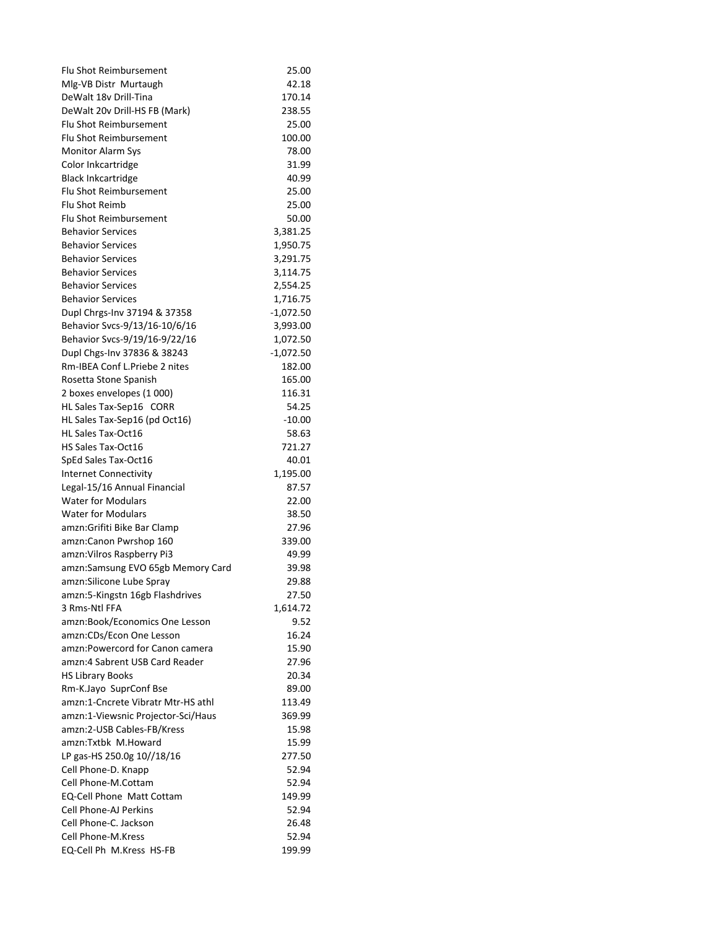| <b>Flu Shot Reimbursement</b>      | 25.00       |
|------------------------------------|-------------|
| Mlg-VB Distr Murtaugh              | 42.18       |
| DeWalt 18v Drill-Tina              | 170.14      |
| DeWalt 20v Drill-HS FB (Mark)      | 238.55      |
| <b>Flu Shot Reimbursement</b>      | 25.00       |
| <b>Flu Shot Reimbursement</b>      | 100.00      |
| Monitor Alarm Sys                  | 78.00       |
| Color Inkcartridge                 | 31.99       |
| <b>Black Inkcartridge</b>          | 40.99       |
| <b>Flu Shot Reimbursement</b>      | 25.00       |
| Flu Shot Reimb                     | 25.00       |
| Flu Shot Reimbursement             | 50.00       |
| <b>Behavior Services</b>           | 3,381.25    |
| <b>Behavior Services</b>           | 1,950.75    |
| <b>Behavior Services</b>           | 3,291.75    |
| <b>Behavior Services</b>           | 3,114.75    |
| <b>Behavior Services</b>           | 2,554.25    |
| <b>Behavior Services</b>           | 1,716.75    |
| Dupl Chrgs-Inv 37194 & 37358       | $-1,072.50$ |
| Behavior Svcs-9/13/16-10/6/16      | 3,993.00    |
| Behavior Svcs-9/19/16-9/22/16      | 1,072.50    |
| Dupl Chgs-Inv 37836 & 38243        | $-1,072.50$ |
| Rm-IBEA Conf L.Priebe 2 nites      | 182.00      |
| Rosetta Stone Spanish              | 165.00      |
| 2 boxes envelopes (1 000)          | 116.31      |
| HL Sales Tax-Sep16 CORR            | 54.25       |
| HL Sales Tax-Sep16 (pd Oct16)      | $-10.00$    |
| <b>HL Sales Tax-Oct16</b>          | 58.63       |
| HS Sales Tax-Oct16                 | 721.27      |
| SpEd Sales Tax-Oct16               | 40.01       |
| <b>Internet Connectivity</b>       | 1,195.00    |
| Legal-15/16 Annual Financial       | 87.57       |
| <b>Water for Modulars</b>          | 22.00       |
| <b>Water for Modulars</b>          | 38.50       |
| amzn:Grifiti Bike Bar Clamp        | 27.96       |
| amzn:Canon Pwrshop 160             | 339.00      |
| amzn: Vilros Raspberry Pi3         | 49.99       |
| amzn:Samsung EVO 65gb Memory Card  | 39.98       |
| amzn:Silicone Lube Spray           | 29.88       |
| amzn:5-Kingstn 16gb Flashdrives    | 27.50       |
| 3 Rms-Ntl FFA                      | 1,614.72    |
| amzn:Book/Economics One Lesson     | 9.52        |
| amzn:CDs/Econ One Lesson           | 16.24       |
| amzn:Powercord for Canon camera    | 15.90       |
| amzn:4 Sabrent USB Card Reader     | 27.96       |
| <b>HS Library Books</b>            | 20.34       |
| Rm-K.Jayo SuprConf Bse             | 89.00       |
| amzn:1-Cncrete Vibratr Mtr-HS athl | 113.49      |
| amzn:1-Viewsnic Projector-Sci/Haus | 369.99      |
| amzn:2-USB Cables-FB/Kress         | 15.98       |
| amzn:Txtbk M.Howard                | 15.99       |
| LP gas-HS 250.0g 10//18/16         | 277.50      |
| Cell Phone-D. Knapp                | 52.94       |
| Cell Phone-M.Cottam                | 52.94       |
| <b>EQ-Cell Phone Matt Cottam</b>   | 149.99      |
| Cell Phone-AJ Perkins              | 52.94       |
| Cell Phone-C. Jackson              | 26.48       |
| Cell Phone-M.Kress                 | 52.94       |
| EQ-Cell Ph M.Kress HS-FB           | 199.99      |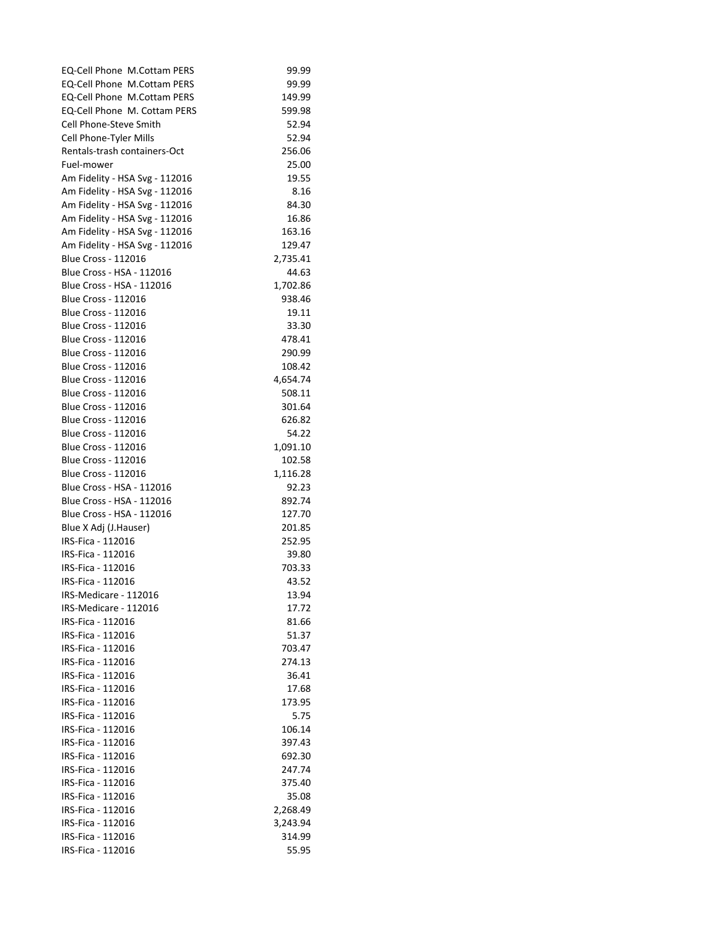| <b>EQ-Cell Phone M.Cottam PERS</b> | 99.99    |
|------------------------------------|----------|
| <b>EQ-Cell Phone M.Cottam PERS</b> | 99.99    |
| EQ-Cell Phone M.Cottam PERS        | 149.99   |
| EQ-Cell Phone M. Cottam PERS       | 599.98   |
| Cell Phone-Steve Smith             | 52.94    |
| Cell Phone-Tyler Mills             | 52.94    |
| Rentals-trash containers-Oct       | 256.06   |
| Fuel-mower                         | 25.00    |
| Am Fidelity - HSA Svg - 112016     | 19.55    |
| Am Fidelity - HSA Svg - 112016     | 8.16     |
| Am Fidelity - HSA Svg - 112016     | 84.30    |
| Am Fidelity - HSA Svg - 112016     | 16.86    |
| Am Fidelity - HSA Svg - 112016     | 163.16   |
| Am Fidelity - HSA Svg - 112016     | 129.47   |
| <b>Blue Cross - 112016</b>         | 2,735.41 |
| Blue Cross - HSA - 112016          | 44.63    |
| Blue Cross - HSA - 112016          | 1,702.86 |
| <b>Blue Cross - 112016</b>         | 938.46   |
| <b>Blue Cross - 112016</b>         | 19.11    |
| <b>Blue Cross - 112016</b>         | 33.30    |
| <b>Blue Cross - 112016</b>         | 478.41   |
| <b>Blue Cross - 112016</b>         | 290.99   |
| <b>Blue Cross - 112016</b>         | 108.42   |
| <b>Blue Cross - 112016</b>         | 4,654.74 |
| <b>Blue Cross - 112016</b>         | 508.11   |
| <b>Blue Cross - 112016</b>         | 301.64   |
| <b>Blue Cross - 112016</b>         | 626.82   |
| <b>Blue Cross - 112016</b>         | 54.22    |
| <b>Blue Cross - 112016</b>         | 1,091.10 |
| <b>Blue Cross - 112016</b>         | 102.58   |
| <b>Blue Cross - 112016</b>         | 1,116.28 |
| Blue Cross - HSA - 112016          | 92.23    |
| Blue Cross - HSA - 112016          | 892.74   |
| Blue Cross - HSA - 112016          | 127.70   |
| Blue X Adj (J.Hauser)              | 201.85   |
| IRS-Fica - 112016                  | 252.95   |
| IRS-Fica - 112016                  | 39.80    |
| IRS-Fica - 112016                  | 703.33   |
| IRS-Fica - 112016                  | 43.52    |
| IRS-Medicare - 112016              | 13.94    |
| IRS-Medicare - 112016              | 17.72    |
| IRS-Fica - 112016                  | 81.66    |
| IRS-Fica - 112016                  | 51.37    |
| IRS-Fica - 112016                  | 703.47   |
| IRS-Fica - 112016                  | 274.13   |
| IRS-Fica - 112016                  | 36.41    |
| IRS-Fica - 112016                  | 17.68    |
| IRS-Fica - 112016                  | 173.95   |
| IRS-Fica - 112016                  | 5.75     |
| IRS-Fica - 112016                  | 106.14   |
| IRS-Fica - 112016                  | 397.43   |
| IRS-Fica - 112016                  | 692.30   |
| IRS-Fica - 112016                  | 247.74   |
| IRS-Fica - 112016                  | 375.40   |
| IRS-Fica - 112016                  | 35.08    |
| IRS-Fica - 112016                  | 2,268.49 |
| IRS-Fica - 112016                  | 3,243.94 |
| IRS-Fica - 112016                  | 314.99   |
| IRS-Fica - 112016                  | 55.95    |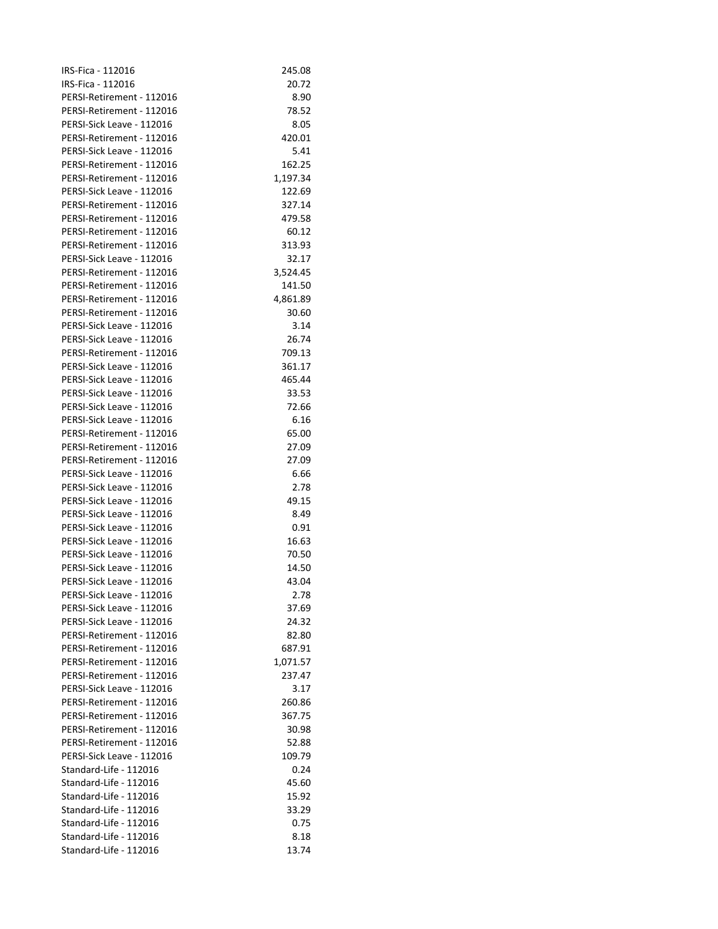| IRS-Fica - 112016         | 245.08   |
|---------------------------|----------|
| IRS-Fica - 112016         | 20.72    |
| PERSI-Retirement - 112016 | 8.90     |
| PERSI-Retirement - 112016 | 78.52    |
| PERSI-Sick Leave - 112016 | 8.05     |
| PERSI-Retirement - 112016 | 420.01   |
| PERSI-Sick Leave - 112016 | 5.41     |
| PERSI-Retirement - 112016 | 162.25   |
| PERSI-Retirement - 112016 | 1,197.34 |
| PERSI-Sick Leave - 112016 | 122.69   |
| PERSI-Retirement - 112016 | 327.14   |
| PERSI-Retirement - 112016 | 479.58   |
| PERSI-Retirement - 112016 | 60.12    |
| PERSI-Retirement - 112016 | 313.93   |
| PERSI-Sick Leave - 112016 | 32.17    |
| PERSI-Retirement - 112016 | 3,524.45 |
| PERSI-Retirement - 112016 | 141.50   |
| PERSI-Retirement - 112016 | 4,861.89 |
| PERSI-Retirement - 112016 | 30.60    |
| PERSI-Sick Leave - 112016 | 3.14     |
| PERSI-Sick Leave - 112016 | 26.74    |
| PERSI-Retirement - 112016 | 709.13   |
| PERSI-Sick Leave - 112016 | 361.17   |
| PERSI-Sick Leave - 112016 | 465.44   |
| PERSI-Sick Leave - 112016 | 33.53    |
| PERSI-Sick Leave - 112016 | 72.66    |
| PERSI-Sick Leave - 112016 | 6.16     |
| PERSI-Retirement - 112016 | 65.00    |
| PERSI-Retirement - 112016 | 27.09    |
| PERSI-Retirement - 112016 | 27.09    |
| PERSI-Sick Leave - 112016 | 6.66     |
| PERSI-Sick Leave - 112016 | 2.78     |
| PERSI-Sick Leave - 112016 | 49.15    |
| PERSI-Sick Leave - 112016 | 8.49     |
| PERSI-Sick Leave - 112016 | 0.91     |
| PERSI-Sick Leave - 112016 | 16.63    |
| PERSI-Sick Leave - 112016 | 70.50    |
| PERSI-Sick Leave - 112016 | 14.50    |
| PERSI-Sick Leave - 112016 | 43.04    |
| PERSI-Sick Leave - 112016 | 2.78     |
| PERSI-Sick Leave - 112016 | 37.69    |
| PERSI-Sick Leave - 112016 | 24.32    |
| PERSI-Retirement - 112016 | 82.80    |
| PERSI-Retirement - 112016 | 687.91   |
| PERSI-Retirement - 112016 | 1,071.57 |
| PERSI-Retirement - 112016 | 237.47   |
| PERSI-Sick Leave - 112016 | 3.17     |
| PERSI-Retirement - 112016 | 260.86   |
| PERSI-Retirement - 112016 | 367.75   |
| PERSI-Retirement - 112016 | 30.98    |
| PERSI-Retirement - 112016 | 52.88    |
| PERSI-Sick Leave - 112016 | 109.79   |
| Standard-Life - 112016    | 0.24     |
| Standard-Life - 112016    | 45.60    |
| Standard-Life - 112016    | 15.92    |
| Standard-Life - 112016    | 33.29    |
| Standard-Life - 112016    | 0.75     |
| Standard-Life - 112016    | 8.18     |
| Standard-Life - 112016    | 13.74    |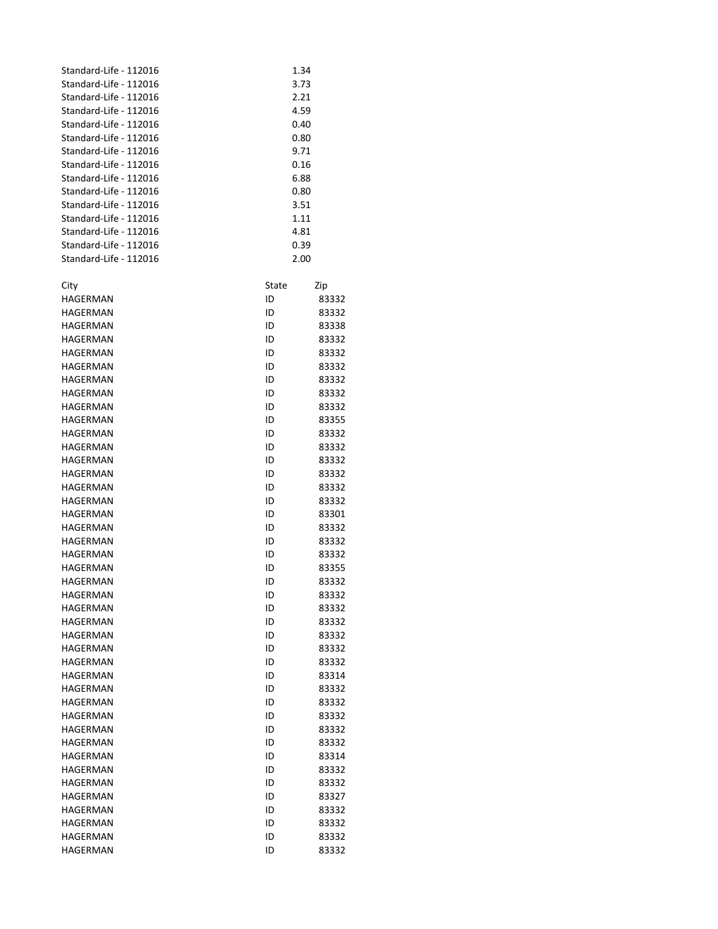| Standard-Life - 112016 |       | 1.34  |  |
|------------------------|-------|-------|--|
| Standard-Life - 112016 | 3.73  |       |  |
| Standard-Life - 112016 | 2.21  |       |  |
| Standard-Life - 112016 | 4.59  |       |  |
| Standard-Life - 112016 | 0.40  |       |  |
| Standard-Life - 112016 |       | 0.80  |  |
| Standard-Life - 112016 |       | 9.71  |  |
| Standard-Life - 112016 | 0.16  |       |  |
| Standard-Life - 112016 | 6.88  |       |  |
| Standard-Life - 112016 | 0.80  |       |  |
| Standard-Life - 112016 | 3.51  |       |  |
| Standard-Life - 112016 | 1.11  |       |  |
| Standard-Life - 112016 |       | 4.81  |  |
| Standard-Life - 112016 |       | 0.39  |  |
| Standard-Life - 112016 | 2.00  |       |  |
|                        |       |       |  |
| City                   | State | Zip   |  |
| HAGERMAN               | ID    | 83332 |  |
| HAGERMAN               | ID    | 83332 |  |
| <b>HAGERMAN</b>        | ID    | 83338 |  |
| HAGERMAN               | ID    | 83332 |  |
| HAGERMAN               | ID    | 83332 |  |
|                        |       |       |  |
| HAGERMAN               | ID    | 83332 |  |
| HAGERMAN               | ID    | 83332 |  |
| HAGERMAN               | ID    | 83332 |  |
| <b>HAGERMAN</b>        | ID    | 83332 |  |
| HAGERMAN               | ID    | 83355 |  |
| HAGERMAN               | ID    | 83332 |  |
| HAGERMAN               | ID    | 83332 |  |
| HAGERMAN               | ID    | 83332 |  |
| HAGERMAN               | ID    | 83332 |  |
| HAGERMAN               | ID    | 83332 |  |
| HAGERMAN               | ID    | 83332 |  |
| HAGERMAN               | ID    | 83301 |  |
| HAGERMAN               | ID    | 83332 |  |
| HAGERMAN               | ID    | 83332 |  |
| HAGERMAN               | ID    | 83332 |  |
| HAGERMAN               | ID    | 83355 |  |
| HAGERMAN               | ID    | 83332 |  |
| HAGERMAN               | ID    | 83332 |  |
| HAGERMAN               | ID    | 83332 |  |
| HAGERMAN               | ID    | 83332 |  |
|                        |       |       |  |
| HAGERMAN               | ID    | 83332 |  |
| HAGERMAN               | ID    | 83332 |  |
| HAGERMAN               | ID    | 83332 |  |
| HAGERMAN               | ID    | 83314 |  |
| HAGERMAN               | ID    | 83332 |  |
| HAGERMAN               | ID    | 83332 |  |
| HAGERMAN               | ID    | 83332 |  |
| HAGERMAN               | ID    | 83332 |  |
| HAGERMAN               | ID    | 83332 |  |
| HAGERMAN               | ID    | 83314 |  |
| HAGERMAN               | ID    | 83332 |  |
| HAGERMAN               | ID    | 83332 |  |
| HAGERMAN               | ID    | 83327 |  |
| HAGERMAN               | ID    | 83332 |  |
| HAGERMAN               | ID    | 83332 |  |
| HAGERMAN               | ID    | 83332 |  |
| HAGERMAN               | ID    | 83332 |  |
|                        |       |       |  |